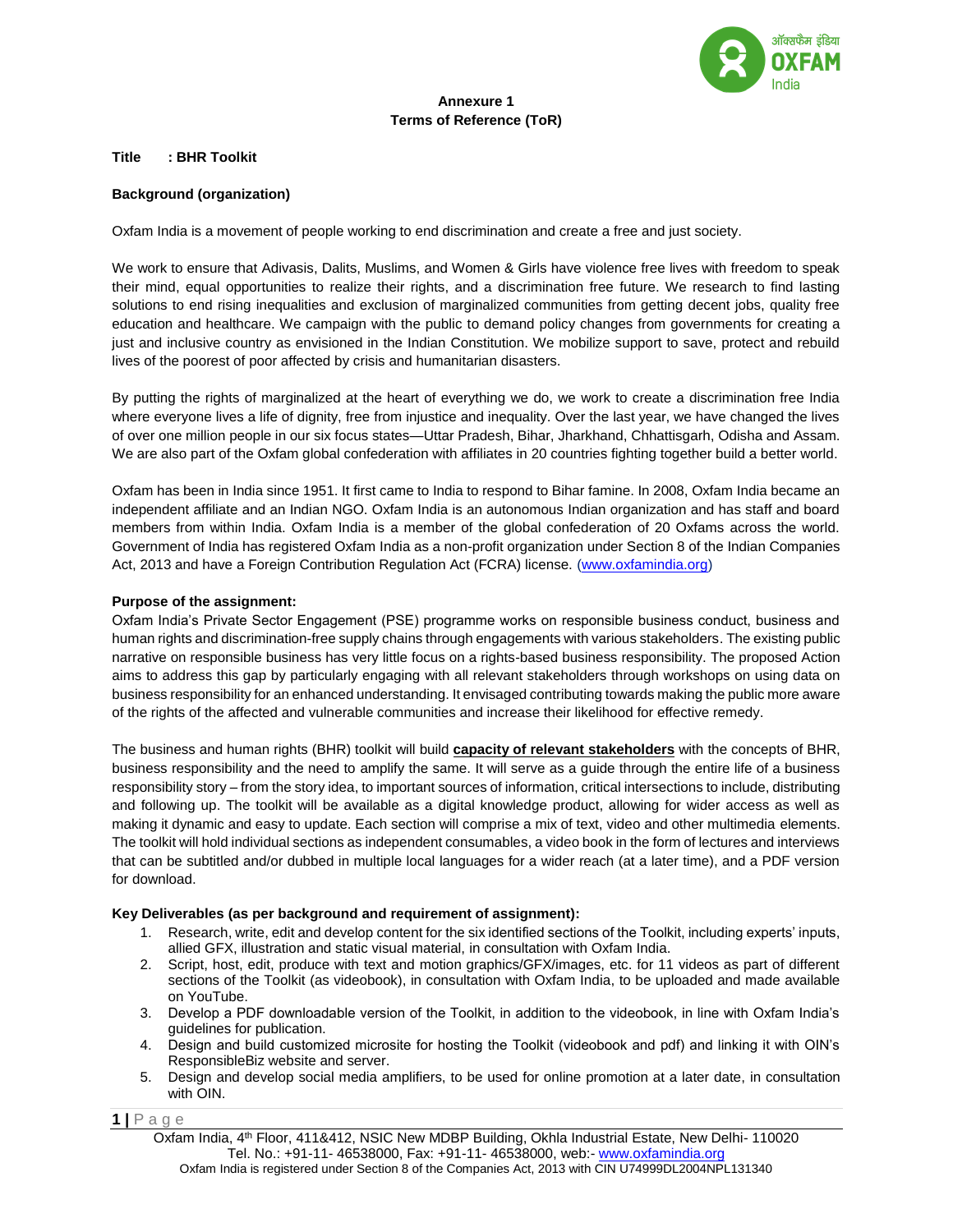

# **Annexure 1 Terms of Reference (ToR)**

#### **Title : BHR Toolkit**

#### **Background (organization)**

Oxfam India is a movement of people working to end discrimination and create a free and just society.

We work to ensure that Adivasis, Dalits, Muslims, and Women & Girls have violence free lives with freedom to speak their mind, equal opportunities to realize their rights, and a discrimination free future. We research to find lasting solutions to end rising inequalities and exclusion of marginalized communities from getting decent jobs, quality free education and healthcare. We campaign with the public to demand policy changes from governments for creating a just and inclusive country as envisioned in the Indian Constitution. We mobilize support to save, protect and rebuild lives of the poorest of poor affected by crisis and humanitarian disasters.

By putting the rights of marginalized at the heart of everything we do, we work to create a discrimination free India where everyone lives a life of dignity, free from injustice and inequality. Over the last year, we have changed the lives of over one million people in our six focus states—Uttar Pradesh, Bihar, Jharkhand, Chhattisgarh, Odisha and Assam. We are also part of the Oxfam global confederation with affiliates in 20 countries fighting together build a better world.

Oxfam has been in India since 1951. It first came to India to respond to Bihar famine. In 2008, Oxfam India became an independent affiliate and an Indian NGO. Oxfam India is an autonomous Indian organization and has staff and board members from within India. Oxfam India is a member of the global confederation of 20 Oxfams across the world. Government of India has registered Oxfam India as a non-profit organization under Section 8 of the Indian Companies Act, 2013 and have a Foreign Contribution Regulation Act (FCRA) license. [\(www.oxfamindia.org\)](http://www.oxfamindia.org/)

## **Purpose of the assignment:**

Oxfam India's Private Sector Engagement (PSE) programme works on responsible business conduct, business and human rights and discrimination-free supply chains through engagements with various stakeholders. The existing public narrative on responsible business has very little focus on a rights-based business responsibility. The proposed Action aims to address this gap by particularly engaging with all relevant stakeholders through workshops on using data on business responsibility for an enhanced understanding. It envisaged contributing towards making the public more aware of the rights of the affected and vulnerable communities and increase their likelihood for effective remedy.

The business and human rights (BHR) toolkit will build **capacity of relevant stakeholders** with the concepts of BHR, business responsibility and the need to amplify the same. It will serve as a guide through the entire life of a business responsibility story – from the story idea, to important sources of information, critical intersections to include, distributing and following up. The toolkit will be available as a digital knowledge product, allowing for wider access as well as making it dynamic and easy to update. Each section will comprise a mix of text, video and other multimedia elements. The toolkit will hold individual sections as independent consumables, a video book in the form of lectures and interviews that can be subtitled and/or dubbed in multiple local languages for a wider reach (at a later time), and a PDF version for download.

## **Key Deliverables (as per background and requirement of assignment):**

- 1. Research, write, edit and develop content for the six identified sections of the Toolkit, including experts' inputs, allied GFX, illustration and static visual material, in consultation with Oxfam India.
- 2. Script, host, edit, produce with text and motion graphics/GFX/images, etc. for 11 videos as part of different sections of the Toolkit (as videobook), in consultation with Oxfam India, to be uploaded and made available on YouTube.
- 3. Develop a PDF downloadable version of the Toolkit, in addition to the videobook, in line with Oxfam India's guidelines for publication.
- 4. Design and build customized microsite for hosting the Toolkit (videobook and pdf) and linking it with OIN's ResponsibleBiz website and server.
- 5. Design and develop social media amplifiers, to be used for online promotion at a later date, in consultation with OIN.

**1 |** P a g e